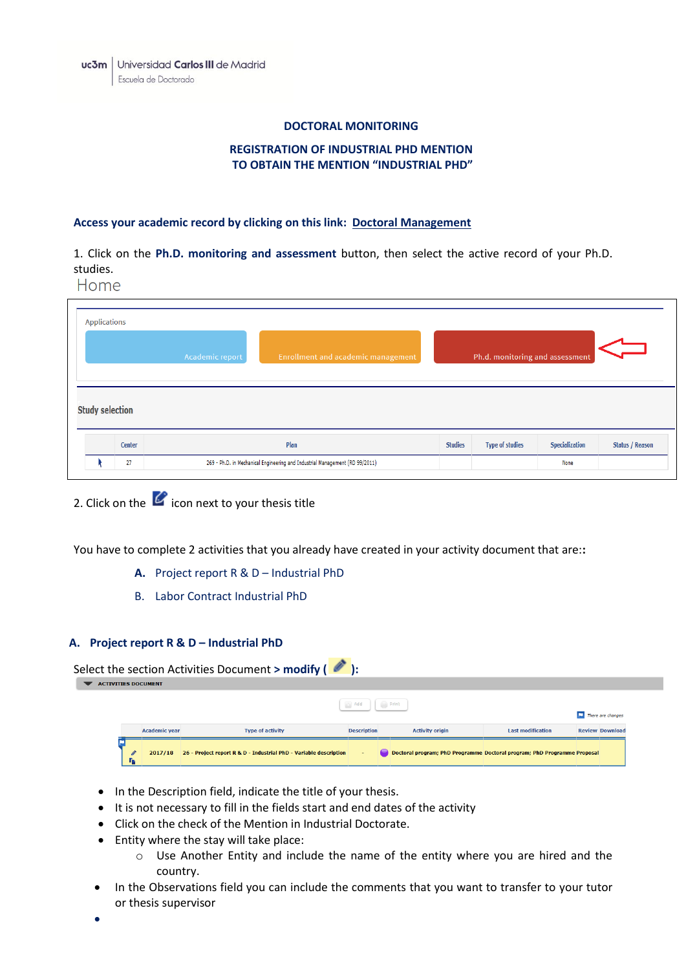#### **DOCTORAL MONITORING**

# **REGISTRATION OF INDUSTRIAL PHD MENTION TO OBTAIN THE MENTION "INDUSTRIAL PHD"**

## **Access your academic record by clicking on this link: [Doctoral Management](https://sigma-web.uc3m.es/cosmos/Controlador/?apl=Uninavs&gu=a&idNav=inicio&NuevaSesionUsuario=true&NombreUsuarioAlumno=ALUMNODOC&idioma=en&pais=GB)**

1. Click on the **Ph.D. monitoring and assessment** button, then select the active record of your Ph.D. studies.

Home

| <b>Applications</b> |                        |                 |                                           |                                 |                        |                       |                        |  |  |
|---------------------|------------------------|-----------------|-------------------------------------------|---------------------------------|------------------------|-----------------------|------------------------|--|--|
|                     |                        | Academic report | <b>Enrollment and academic management</b> | Ph.d. monitoring and assessment |                        |                       |                        |  |  |
|                     |                        |                 |                                           |                                 |                        |                       |                        |  |  |
|                     | <b>Study selection</b> |                 |                                           |                                 |                        |                       |                        |  |  |
|                     | Center                 |                 | Plan                                      | <b>Studies</b>                  | <b>Type of studies</b> | <b>Specialization</b> | <b>Status / Reason</b> |  |  |

2. Click on the  $\mathcal C$  icon next to your thesis title

You have to complete 2 activities that you already have created in your activity document that are:**:**

- **A.** Project report R & D Industrial PhD
- B. Labor Contract Industrial PhD

## **A. Project report R & D – Industrial PhD**

|                            | Select the section Activities Document > modify $($ $\bullet$ ): |                      |                                                                   |                    |  |                        |                                                                          |  |                        |
|----------------------------|------------------------------------------------------------------|----------------------|-------------------------------------------------------------------|--------------------|--|------------------------|--------------------------------------------------------------------------|--|------------------------|
| <b>ACTIVITIES DOCUMENT</b> |                                                                  |                      |                                                                   |                    |  |                        |                                                                          |  |                        |
|                            |                                                                  |                      |                                                                   | <b>Add</b>         |  | $P$ and $P$ and $P$    |                                                                          |  | There are changes      |
|                            |                                                                  | <b>Academic year</b> | <b>Type of activity</b>                                           | <b>Description</b> |  | <b>Activity origin</b> | <b>Last modification</b>                                                 |  | <b>Review Download</b> |
|                            | <b>Th</b>                                                        | 2017/18              | 26 - Project report R & D - Industrial PhD - Variable description | $\sim$             |  |                        | Doctoral program; PhD Programme Doctoral program; PhD Programme Proposal |  |                        |

- In the Description field, indicate the title of your thesis.
- It is not necessary to fill in the fields start and end dates of the activity
- Click on the check of the Mention in Industrial Doctorate.
- Entity where the stay will take place:
	- o Use Another Entity and include the name of the entity where you are hired and the country.
- In the Observations field you can include the comments that you want to transfer to your tutor or thesis supervisor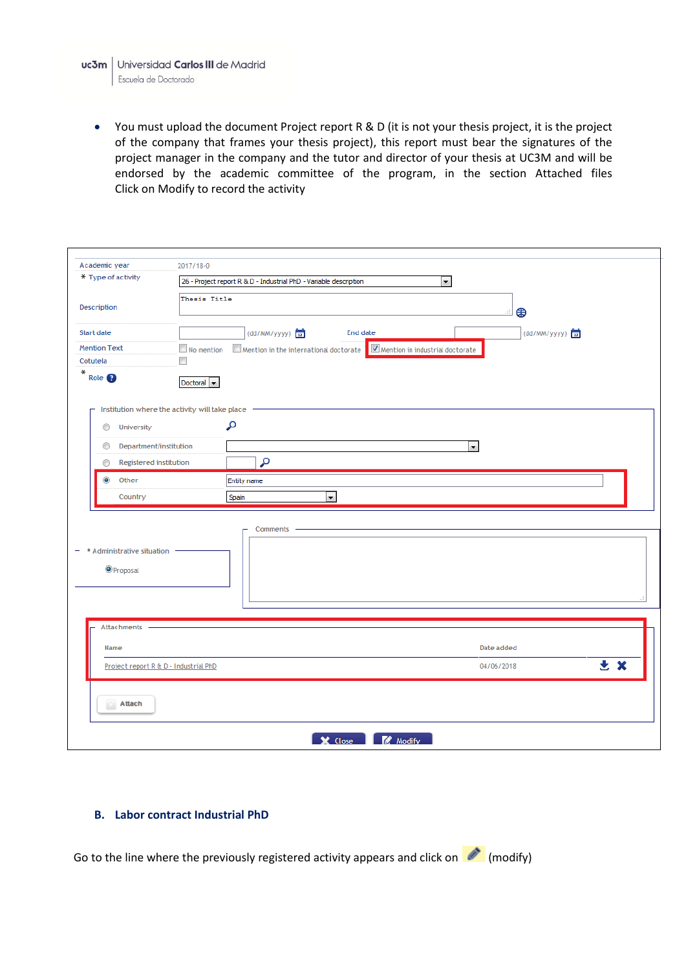You must upload the document Project report R & D (it is not your thesis project, it is the project of the company that frames your thesis project), this report must bear the signatures of the project manager in the company and the tutor and director of your thesis at UC3M and will be endorsed by the academic committee of the program, in the section Attached files Click on Modify to record the activity

|                                                                                 | 2017/18-0                                                                                                     |  |  |  |  |  |
|---------------------------------------------------------------------------------|---------------------------------------------------------------------------------------------------------------|--|--|--|--|--|
| * Type of activity                                                              | 26 - Project report R & D - Industrial PhD - Variable description<br>$\left  \cdot \right $                   |  |  |  |  |  |
| Description                                                                     | Thesis Title<br>⊕<br>aî.                                                                                      |  |  |  |  |  |
| <b>Start date</b>                                                               | (dd/MM/yyyy)<br>End date<br>(dd/MM/yyyy)                                                                      |  |  |  |  |  |
| <b>Mention Text</b>                                                             | $\blacksquare$ No mention<br>$\Box$ Mention in the international doctorate<br>Mention in industrial doctorate |  |  |  |  |  |
| Cotutela<br>$*$                                                                 | $\overline{\phantom{a}}$                                                                                      |  |  |  |  |  |
| Role <sub>9</sub>                                                               | Doctoral $\blacktriangleright$                                                                                |  |  |  |  |  |
|                                                                                 | Institution where the activity will take place                                                                |  |  |  |  |  |
| ⊙<br>University                                                                 | م                                                                                                             |  |  |  |  |  |
| Department/institution<br>⊙                                                     | $\overline{\phantom{a}}$                                                                                      |  |  |  |  |  |
| Registered institution<br>⊙                                                     | م                                                                                                             |  |  |  |  |  |
|                                                                                 |                                                                                                               |  |  |  |  |  |
| $\bullet$<br>Other                                                              | Entity name                                                                                                   |  |  |  |  |  |
| Country                                                                         | Spain<br>₹.                                                                                                   |  |  |  |  |  |
|                                                                                 | Comments -                                                                                                    |  |  |  |  |  |
| <b>O</b> Proposal<br>Attachments -                                              |                                                                                                               |  |  |  |  |  |
| $-$ * Administrative situation<br>Name<br>Project report R & D - Industrial PhD | Date added<br>土义<br>04/06/2018                                                                                |  |  |  |  |  |

## **B. Labor contract Industrial PhD**

Go to the line where the previously registered activity appears and click on  $\bullet$  (modify)